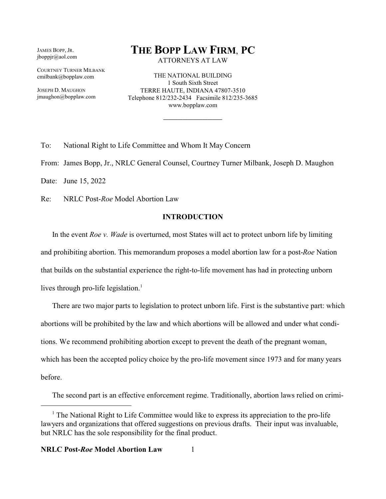JAMES BOPP, JR. jboppjr@aol.com

COURTNEY TURNER MILBANK cmilbank@bopplaw.com

JOSEPH D. MAUGHON jmaughon@bopplaw.com

# **THE BOPP LAW FIRM**, **PC**

ATTORNEYS AT LAW

THE NATIONAL BUILDING 1 South Sixth Street TERRE HAUTE, INDIANA 47807-3510 Telephone 812/232-2434 Facsimile 812/235-3685 www.bopplaw.com

\_\_\_\_\_\_\_\_\_\_\_\_

To: National Right to Life Committee and Whom It May Concern

From: James Bopp, Jr., NRLC General Counsel, Courtney Turner Milbank, Joseph D. Maughon

Date: June 15, 2022

Re: NRLC Post-*Roe* Model Abortion Law

### **INTRODUCTION**

In the event *Roe v. Wade* is overturned, most States will act to protect unborn life by limiting and prohibiting abortion. This memorandum proposes a model abortion law for a post-*Roe* Nation that builds on the substantial experience the right-to-life movement has had in protecting unborn lives through pro-life legislation.<sup>1</sup>

There are two major parts to legislation to protect unborn life. First is the substantive part: which abortions will be prohibited by the law and which abortions will be allowed and under what conditions. We recommend prohibiting abortion except to prevent the death of the pregnant woman, which has been the accepted policy choice by the pro-life movement since 1973 and for many years before.

The second part is an effective enforcement regime. Traditionally, abortion laws relied on crimi-

<sup>&</sup>lt;sup>1</sup> The National Right to Life Committee would like to express its appreciation to the pro-life lawyers and organizations that offered suggestions on previous drafts. Their input was invaluable, but NRLC has the sole responsibility for the final product.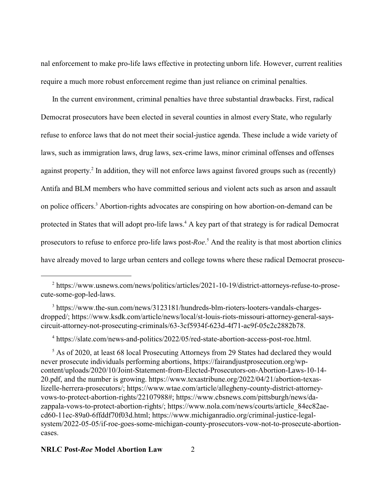nal enforcement to make pro-life laws effective in protecting unborn life. However, current realities require a much more robust enforcement regime than just reliance on criminal penalties.

In the current environment, criminal penalties have three substantial drawbacks. First, radical Democrat prosecutors have been elected in several counties in almost every State, who regularly refuse to enforce laws that do not meet their social-justice agenda. These include a wide variety of laws, such as immigration laws, drug laws, sex-crime laws, minor criminal offenses and offenses against property. 2 In addition, they will not enforce laws against favored groups such as (recently) Antifa and BLM members who have committed serious and violent acts such as arson and assault on police officers.<sup>3</sup> Abortion-rights advocates are conspiring on how abortion-on-demand can be protected in States that will adopt pro-life laws.<sup>4</sup> A key part of that strategy is for radical Democrat prosecutors to refuse to enforce pro-life laws post-*Roe*. 5 And the reality is that most abortion clinics have already moved to large urban centers and college towns where these radical Democrat prosecu-

4 https://slate.com/news-and-politics/2022/05/red-state-abortion-access-post-roe.html.

<sup>&</sup>lt;sup>2</sup> https://www.usnews.com/news/politics/articles/2021-10-19/district-attorneys-refuse-to-prosecute-some-gop-led-laws.

<sup>&</sup>lt;sup>3</sup> https://www.the-sun.com/news/3123181/hundreds-blm-rioters-looters-vandals-chargesdropped/; https://www.ksdk.com/article/news/local/st-louis-riots-missouri-attorney-general-sayscircuit-attorney-not-prosecuting-criminals/63-3cf5934f-623d-4f71-ac9f-05c2c2882b78.

<sup>&</sup>lt;sup>5</sup> As of 2020, at least 68 local Prosecuting Attorneys from 29 States had declared they would never prosecute individuals performing abortions, https://fairandjustprosecution.org/wpcontent/uploads/2020/10/Joint-Statement-from-Elected-Prosecutors-on-Abortion-Laws-10-14- 20.pdf, and the number is growing. https://www.texastribune.org/2022/04/21/abortion-texaslizelle-herrera-prosecutors/; https://www.wtae.com/article/allegheny-county-district-attorneyvows-to-protect-abortion-rights/22107988#; https://www.cbsnews.com/pittsburgh/news/dazappala-vows-to-protect-abortion-rights/; https://www.nola.com/news/courts/article\_84ec82aecd60-11ec-89a0-6ffddf70f03d.html; https://www.michiganradio.org/criminal-justice-legalsystem/2022-05-05/if-roe-goes-some-michigan-county-prosecutors-vow-not-to-prosecute-abortioncases.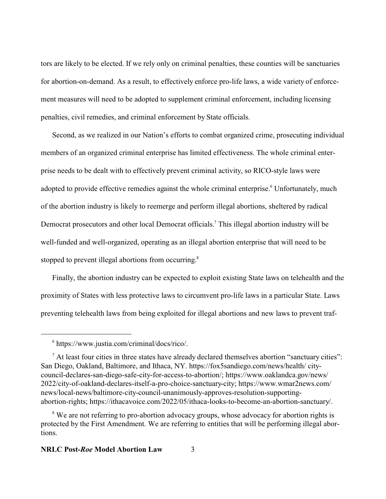tors are likely to be elected. If we rely only on criminal penalties, these counties will be sanctuaries for abortion-on-demand. As a result, to effectively enforce pro-life laws, a wide variety of enforcement measures will need to be adopted to supplement criminal enforcement, including licensing penalties, civil remedies, and criminal enforcement by State officials.

Second, as we realized in our Nation's efforts to combat organized crime, prosecuting individual members of an organized criminal enterprise has limited effectiveness. The whole criminal enterprise needs to be dealt with to effectively prevent criminal activity, so RICO-style laws were adopted to provide effective remedies against the whole criminal enterprise.<sup>6</sup> Unfortunately, much of the abortion industry is likely to reemerge and perform illegal abortions, sheltered by radical Democrat prosecutors and other local Democrat officials.<sup>7</sup> This illegal abortion industry will be well-funded and well-organized, operating as an illegal abortion enterprise that will need to be stopped to prevent illegal abortions from occurring.<sup>8</sup>

Finally, the abortion industry can be expected to exploit existing State laws on telehealth and the proximity of States with less protective laws to circumvent pro-life laws in a particular State. Laws preventing telehealth laws from being exploited for illegal abortions and new laws to prevent traf-

<sup>6</sup> https://www.justia.com/criminal/docs/rico/.

 $<sup>7</sup>$  At least four cities in three states have already declared themselves abortion "sanctuary cities":</sup> San Diego, Oakland, Baltimore, and Ithaca, NY. https://fox5sandiego.com/news/health/ citycouncil-declares-san-diego-safe-city-for-access-to-abortion/; https://www.oaklandca.gov/news/ 2022/city-of-oakland-declares-itself-a-pro-choice-sanctuary-city; https://www.wmar2news.com/ news/local-news/baltimore-city-council-unanimously-approves-resolution-supportingabortion-rights; https://ithacavoice.com/2022/05/ithaca-looks-to-become-an-abortion-sanctuary/.

<sup>&</sup>lt;sup>8</sup> We are not referring to pro-abortion advocacy groups, whose advocacy for abortion rights is protected by the First Amendment. We are referring to entities that will be performing illegal abortions.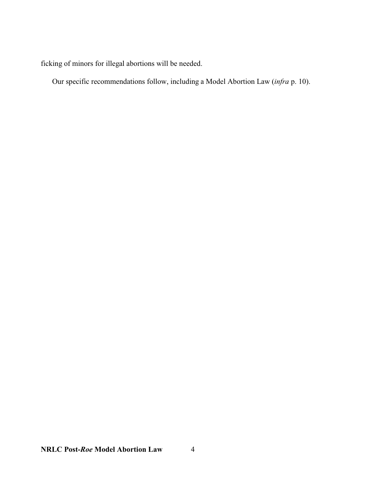ficking of minors for illegal abortions will be needed.

Our specific recommendations follow, including a Model Abortion Law (*infra* p. 10).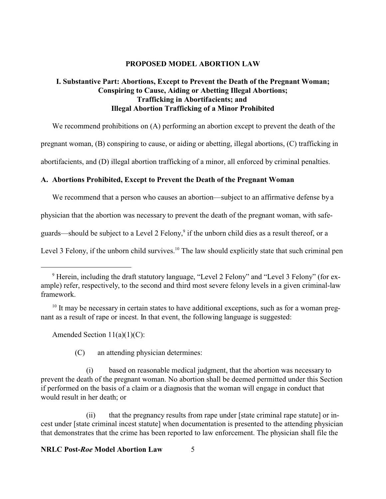### **PROPOSED MODEL ABORTION LAW**

# **I. Substantive Part: Abortions, Except to Prevent the Death of the Pregnant Woman; Conspiring to Cause, Aiding or Abetting Illegal Abortions; Trafficking in Abortifacients; and Illegal Abortion Trafficking of a Minor Prohibited**

We recommend prohibitions on (A) performing an abortion except to prevent the death of the

pregnant woman, (B) conspiring to cause, or aiding or abetting, illegal abortions, (C) trafficking in

abortifacients, and (D) illegal abortion trafficking of a minor, all enforced by criminal penalties.

### **A. Abortions Prohibited, Except to Prevent the Death of the Pregnant Woman**

We recommend that a person who causes an abortion—subject to an affirmative defense by a

physician that the abortion was necessary to prevent the death of the pregnant woman, with safe-

guards—should be subject to a Level 2 Felony, 9 if the unborn child dies as a result thereof, or a

Level 3 Felony, if the unborn child survives.<sup>10</sup> The law should explicitly state that such criminal pen

Amended Section  $11(a)(1)(C)$ :

(C) an attending physician determines:

(i) based on reasonable medical judgment, that the abortion was necessary to prevent the death of the pregnant woman. No abortion shall be deemed permitted under this Section if performed on the basis of a claim or a diagnosis that the woman will engage in conduct that would result in her death; or

(ii) that the pregnancy results from rape under [state criminal rape statute] or incest under [state criminal incest statute] when documentation is presented to the attending physician that demonstrates that the crime has been reported to law enforcement. The physician shall file the

<sup>&</sup>lt;sup>9</sup> Herein, including the draft statutory language, "Level 2 Felony" and "Level 3 Felony" (for example) refer, respectively, to the second and third most severe felony levels in a given criminal-law framework.

<sup>&</sup>lt;sup>10</sup> It may be necessary in certain states to have additional exceptions, such as for a woman pregnant as a result of rape or incest. In that event, the following language is suggested: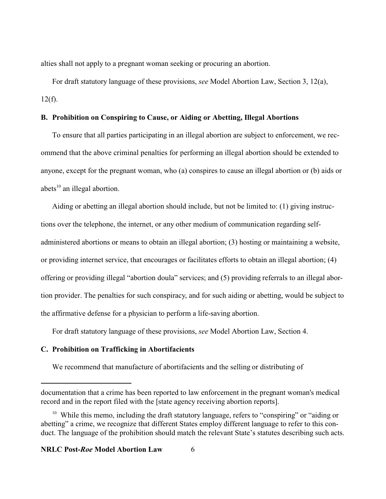alties shall not apply to a pregnant woman seeking or procuring an abortion.

For draft statutory language of these provisions, *see* Model Abortion Law, Section 3, 12(a),  $12(f)$ .

### **B. Prohibition on Conspiring to Cause, or Aiding or Abetting, Illegal Abortions**

To ensure that all parties participating in an illegal abortion are subject to enforcement, we recommend that the above criminal penalties for performing an illegal abortion should be extended to anyone, except for the pregnant woman, who (a) conspires to cause an illegal abortion or (b) aids or abets<sup>10</sup> an illegal abortion.

Aiding or abetting an illegal abortion should include, but not be limited to: (1) giving instructions over the telephone, the internet, or any other medium of communication regarding selfadministered abortions or means to obtain an illegal abortion; (3) hosting or maintaining a website, or providing internet service, that encourages or facilitates efforts to obtain an illegal abortion; (4) offering or providing illegal "abortion doula" services; and (5) providing referrals to an illegal abortion provider. The penalties for such conspiracy, and for such aiding or abetting, would be subject to the affirmative defense for a physician to perform a life-saving abortion.

For draft statutory language of these provisions, *see* Model Abortion Law, Section 4.

## **C. Prohibition on Trafficking in Abortifacients**

We recommend that manufacture of abortifacients and the selling or distributing of

documentation that a crime has been reported to law enforcement in the pregnant woman's medical record and in the report filed with the [state agency receiving abortion reports].

<sup>&</sup>lt;sup>10</sup> While this memo, including the draft statutory language, refers to "conspiring" or "aiding or abetting" a crime, we recognize that different States employ different language to refer to this conduct. The language of the prohibition should match the relevant State's statutes describing such acts.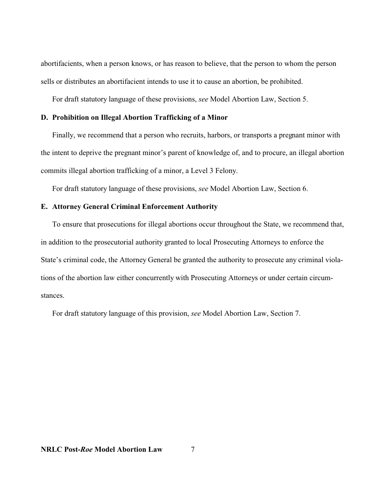abortifacients, when a person knows, or has reason to believe, that the person to whom the person sells or distributes an abortifacient intends to use it to cause an abortion, be prohibited.

For draft statutory language of these provisions, *see* Model Abortion Law, Section 5.

### **D. Prohibition on Illegal Abortion Trafficking of a Minor**

Finally, we recommend that a person who recruits, harbors, or transports a pregnant minor with the intent to deprive the pregnant minor's parent of knowledge of, and to procure, an illegal abortion commits illegal abortion trafficking of a minor, a Level 3 Felony.

For draft statutory language of these provisions, *see* Model Abortion Law, Section 6.

### **E. Attorney General Criminal Enforcement Authority**

To ensure that prosecutions for illegal abortions occur throughout the State, we recommend that, in addition to the prosecutorial authority granted to local Prosecuting Attorneys to enforce the State's criminal code, the Attorney General be granted the authority to prosecute any criminal violations of the abortion law either concurrently with Prosecuting Attorneys or under certain circumstances.

For draft statutory language of this provision, *see* Model Abortion Law, Section 7.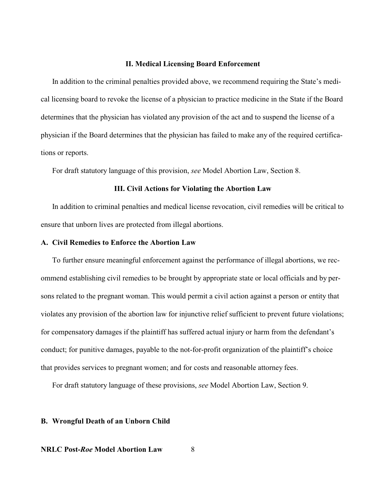#### **II. Medical Licensing Board Enforcement**

In addition to the criminal penalties provided above, we recommend requiring the State's medical licensing board to revoke the license of a physician to practice medicine in the State if the Board determines that the physician has violated any provision of the act and to suspend the license of a physician if the Board determines that the physician has failed to make any of the required certifications or reports.

For draft statutory language of this provision, *see* Model Abortion Law, Section 8.

#### **III. Civil Actions for Violating the Abortion Law**

In addition to criminal penalties and medical license revocation, civil remedies will be critical to ensure that unborn lives are protected from illegal abortions.

#### **A. Civil Remedies to Enforce the Abortion Law**

To further ensure meaningful enforcement against the performance of illegal abortions, we recommend establishing civil remedies to be brought by appropriate state or local officials and by persons related to the pregnant woman. This would permit a civil action against a person or entity that violates any provision of the abortion law for injunctive relief sufficient to prevent future violations; for compensatory damages if the plaintiff has suffered actual injury or harm from the defendant's conduct; for punitive damages, payable to the not-for-profit organization of the plaintiff's choice that provides services to pregnant women; and for costs and reasonable attorney fees.

For draft statutory language of these provisions, *see* Model Abortion Law, Section 9.

#### **B. Wrongful Death of an Unborn Child**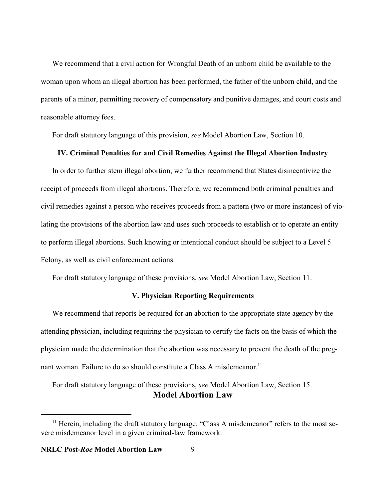We recommend that a civil action for Wrongful Death of an unborn child be available to the woman upon whom an illegal abortion has been performed, the father of the unborn child, and the parents of a minor, permitting recovery of compensatory and punitive damages, and court costs and reasonable attorney fees.

For draft statutory language of this provision, *see* Model Abortion Law, Section 10.

#### **IV. Criminal Penalties for and Civil Remedies Against the Illegal Abortion Industry**

In order to further stem illegal abortion, we further recommend that States disincentivize the receipt of proceeds from illegal abortions. Therefore, we recommend both criminal penalties and civil remedies against a person who receives proceeds from a pattern (two or more instances) of violating the provisions of the abortion law and uses such proceeds to establish or to operate an entity to perform illegal abortions. Such knowing or intentional conduct should be subject to a Level 5 Felony, as well as civil enforcement actions.

For draft statutory language of these provisions, *see* Model Abortion Law, Section 11.

# **V. Physician Reporting Requirements**

We recommend that reports be required for an abortion to the appropriate state agency by the attending physician, including requiring the physician to certify the facts on the basis of which the physician made the determination that the abortion was necessary to prevent the death of the pregnant woman. Failure to do so should constitute a Class A misdemeanor.<sup>11</sup>

For draft statutory language of these provisions, *see* Model Abortion Law, Section 15. **Model Abortion Law**

<sup>&</sup>lt;sup>11</sup> Herein, including the draft statutory language, "Class A misdemeanor" refers to the most severe misdemeanor level in a given criminal-law framework.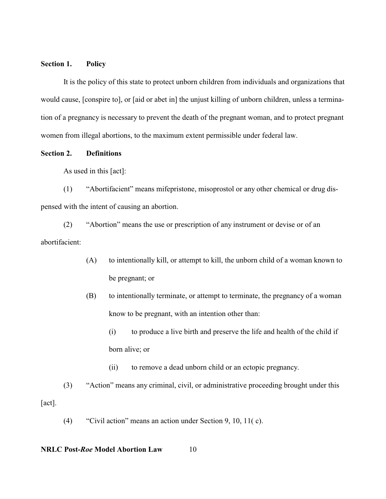### **Section 1. Policy**

It is the policy of this state to protect unborn children from individuals and organizations that would cause, [conspire to], or [aid or abet in] the unjust killing of unborn children, unless a termination of a pregnancy is necessary to prevent the death of the pregnant woman, and to protect pregnant women from illegal abortions, to the maximum extent permissible under federal law.

# **Section 2. Definitions**

As used in this [act]:

(1) "Abortifacient" means mifepristone, misoprostol or any other chemical or drug dispensed with the intent of causing an abortion.

(2) "Abortion" means the use or prescription of any instrument or devise or of an abortifacient:

- (A) to intentionally kill, or attempt to kill, the unborn child of a woman known to be pregnant; or
- (B) to intentionally terminate, or attempt to terminate, the pregnancy of a woman know to be pregnant, with an intention other than:
	- (i) to produce a live birth and preserve the life and health of the child if born alive; or
	- (ii) to remove a dead unborn child or an ectopic pregnancy.
- (3) "Action" means any criminal, civil, or administrative proceeding brought under this [act].
	- (4) "Civil action" means an action under Section 9, 10, 11( c).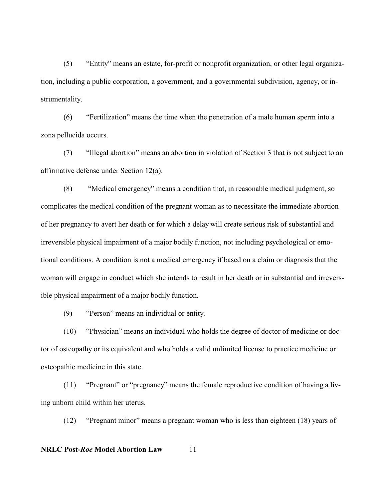(5) "Entity" means an estate, for-profit or nonprofit organization, or other legal organization, including a public corporation, a government, and a governmental subdivision, agency, or instrumentality.

(6) "Fertilization" means the time when the penetration of a male human sperm into a zona pellucida occurs.

(7) "Illegal abortion" means an abortion in violation of Section 3 that is not subject to an affirmative defense under Section 12(a).

(8) "Medical emergency" means a condition that, in reasonable medical judgment, so complicates the medical condition of the pregnant woman as to necessitate the immediate abortion of her pregnancy to avert her death or for which a delay will create serious risk of substantial and irreversible physical impairment of a major bodily function, not including psychological or emotional conditions. A condition is not a medical emergency if based on a claim or diagnosis that the woman will engage in conduct which she intends to result in her death or in substantial and irreversible physical impairment of a major bodily function.

(9) "Person" means an individual or entity.

(10) "Physician" means an individual who holds the degree of doctor of medicine or doctor of osteopathy or its equivalent and who holds a valid unlimited license to practice medicine or osteopathic medicine in this state.

(11) "Pregnant" or "pregnancy" means the female reproductive condition of having a living unborn child within her uterus.

(12) "Pregnant minor" means a pregnant woman who is less than eighteen (18) years of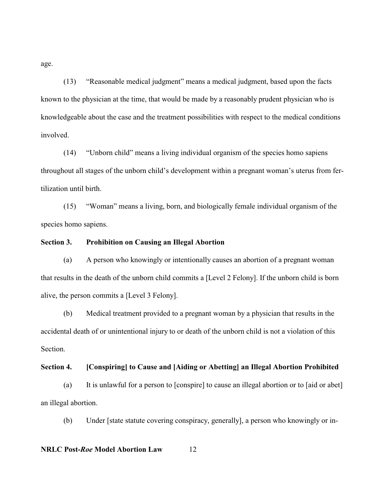age.

(13) "Reasonable medical judgment" means a medical judgment, based upon the facts known to the physician at the time, that would be made by a reasonably prudent physician who is knowledgeable about the case and the treatment possibilities with respect to the medical conditions involved.

(14) "Unborn child" means a living individual organism of the species homo sapiens throughout all stages of the unborn child's development within a pregnant woman's uterus from fertilization until birth.

(15) "Woman" means a living, born, and biologically female individual organism of the species homo sapiens.

### **Section 3. Prohibition on Causing an Illegal Abortion**

(a) A person who knowingly or intentionally causes an abortion of a pregnant woman that results in the death of the unborn child commits a [Level 2 Felony]. If the unborn child is born alive, the person commits a [Level 3 Felony].

(b) Medical treatment provided to a pregnant woman by a physician that results in the accidental death of or unintentional injury to or death of the unborn child is not a violation of this Section.

### **Section 4. [Conspiring] to Cause and [Aiding or Abetting] an Illegal Abortion Prohibited**

(a) It is unlawful for a person to [conspire] to cause an illegal abortion or to [aid or abet] an illegal abortion.

(b) Under [state statute covering conspiracy, generally], a person who knowingly or in-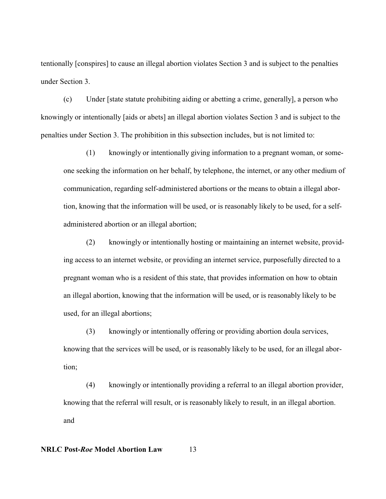tentionally [conspires] to cause an illegal abortion violates Section 3 and is subject to the penalties under Section 3.

(c) Under [state statute prohibiting aiding or abetting a crime, generally], a person who knowingly or intentionally [aids or abets] an illegal abortion violates Section 3 and is subject to the penalties under Section 3. The prohibition in this subsection includes, but is not limited to:

(1) knowingly or intentionally giving information to a pregnant woman, or someone seeking the information on her behalf, by telephone, the internet, or any other medium of communication, regarding self-administered abortions or the means to obtain a illegal abortion, knowing that the information will be used, or is reasonably likely to be used, for a selfadministered abortion or an illegal abortion;

(2) knowingly or intentionally hosting or maintaining an internet website, providing access to an internet website, or providing an internet service, purposefully directed to a pregnant woman who is a resident of this state, that provides information on how to obtain an illegal abortion, knowing that the information will be used, or is reasonably likely to be used, for an illegal abortions;

(3) knowingly or intentionally offering or providing abortion doula services, knowing that the services will be used, or is reasonably likely to be used, for an illegal abortion;

(4) knowingly or intentionally providing a referral to an illegal abortion provider, knowing that the referral will result, or is reasonably likely to result, in an illegal abortion. and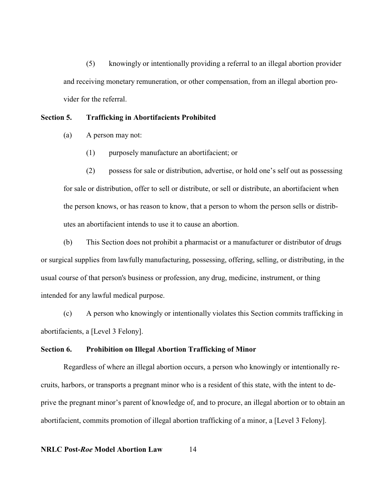(5) knowingly or intentionally providing a referral to an illegal abortion provider and receiving monetary remuneration, or other compensation, from an illegal abortion provider for the referral.

#### **Section 5. Trafficking in Abortifacients Prohibited**

- (a) A person may not:
	- (1) purposely manufacture an abortifacient; or

(2) possess for sale or distribution, advertise, or hold one's self out as possessing for sale or distribution, offer to sell or distribute, or sell or distribute, an abortifacient when the person knows, or has reason to know, that a person to whom the person sells or distributes an abortifacient intends to use it to cause an abortion.

(b) This Section does not prohibit a pharmacist or a manufacturer or distributor of drugs or surgical supplies from lawfully manufacturing, possessing, offering, selling, or distributing, in the usual course of that person's business or profession, any drug, medicine, instrument, or thing intended for any lawful medical purpose.

(c) A person who knowingly or intentionally violates this Section commits trafficking in abortifacients, a [Level 3 Felony].

#### **Section 6. Prohibition on Illegal Abortion Trafficking of Minor**

Regardless of where an illegal abortion occurs, a person who knowingly or intentionally recruits, harbors, or transports a pregnant minor who is a resident of this state, with the intent to deprive the pregnant minor's parent of knowledge of, and to procure, an illegal abortion or to obtain an abortifacient, commits promotion of illegal abortion trafficking of a minor, a [Level 3 Felony].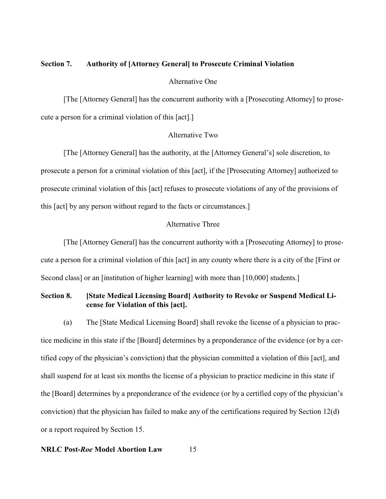### **Section 7. Authority of [Attorney General] to Prosecute Criminal Violation**

#### Alternative One

[The [Attorney General] has the concurrent authority with a [Prosecuting Attorney] to prosecute a person for a criminal violation of this [act].]

# Alternative Two

[The [Attorney General] has the authority, at the [Attorney General's] sole discretion, to prosecute a person for a criminal violation of this [act], if the [Prosecuting Attorney] authorized to prosecute criminal violation of this [act] refuses to prosecute violations of any of the provisions of this [act] by any person without regard to the facts or circumstances.]

### Alternative Three

[The [Attorney General] has the concurrent authority with a [Prosecuting Attorney] to prosecute a person for a criminal violation of this [act] in any county where there is a city of the [First or Second class] or an [institution of higher learning] with more than [10,000] students.]

# **Section 8. [State Medical Licensing Board] Authority to Revoke or Suspend Medical License for Violation of this [act].**

(a) The [State Medical Licensing Board] shall revoke the license of a physician to practice medicine in this state if the [Board] determines by a preponderance of the evidence (or by a certified copy of the physician's conviction) that the physician committed a violation of this [act], and shall suspend for at least six months the license of a physician to practice medicine in this state if the [Board] determines by a preponderance of the evidence (or by a certified copy of the physician's conviction) that the physician has failed to make any of the certifications required by Section 12(d) or a report required by Section 15.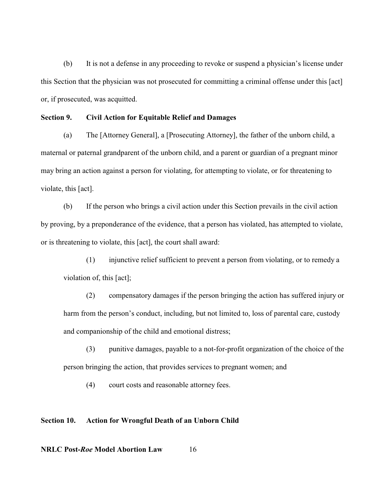(b) It is not a defense in any proceeding to revoke or suspend a physician's license under this Section that the physician was not prosecuted for committing a criminal offense under this [act] or, if prosecuted, was acquitted.

#### **Section 9. Civil Action for Equitable Relief and Damages**

(a) The [Attorney General], a [Prosecuting Attorney], the father of the unborn child, a maternal or paternal grandparent of the unborn child, and a parent or guardian of a pregnant minor may bring an action against a person for violating, for attempting to violate, or for threatening to violate, this [act].

(b) If the person who brings a civil action under this Section prevails in the civil action by proving, by a preponderance of the evidence, that a person has violated, has attempted to violate, or is threatening to violate, this [act], the court shall award:

(1) injunctive relief sufficient to prevent a person from violating, or to remedy a violation of, this [act];

(2) compensatory damages if the person bringing the action has suffered injury or harm from the person's conduct, including, but not limited to, loss of parental care, custody and companionship of the child and emotional distress;

(3) punitive damages, payable to a not-for-profit organization of the choice of the person bringing the action, that provides services to pregnant women; and

(4) court costs and reasonable attorney fees.

### **Section 10. Action for Wrongful Death of an Unborn Child**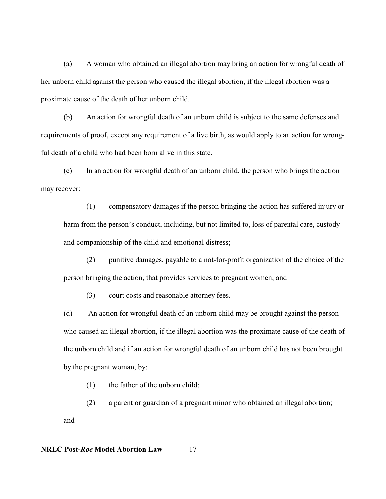(a) A woman who obtained an illegal abortion may bring an action for wrongful death of her unborn child against the person who caused the illegal abortion, if the illegal abortion was a proximate cause of the death of her unborn child.

(b) An action for wrongful death of an unborn child is subject to the same defenses and requirements of proof, except any requirement of a live birth, as would apply to an action for wrongful death of a child who had been born alive in this state.

(c) In an action for wrongful death of an unborn child, the person who brings the action may recover:

(1) compensatory damages if the person bringing the action has suffered injury or harm from the person's conduct, including, but not limited to, loss of parental care, custody and companionship of the child and emotional distress;

(2) punitive damages, payable to a not-for-profit organization of the choice of the person bringing the action, that provides services to pregnant women; and

(3) court costs and reasonable attorney fees.

(d) An action for wrongful death of an unborn child may be brought against the person who caused an illegal abortion, if the illegal abortion was the proximate cause of the death of the unborn child and if an action for wrongful death of an unborn child has not been brought by the pregnant woman, by:

(1) the father of the unborn child;

(2) a parent or guardian of a pregnant minor who obtained an illegal abortion;

and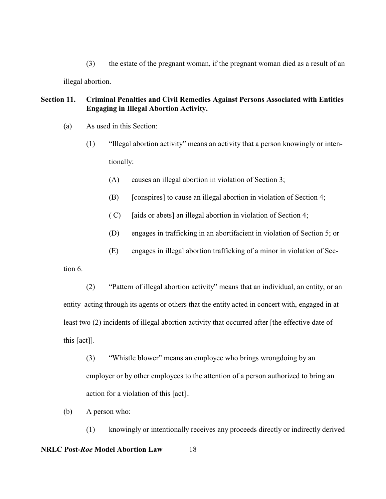(3) the estate of the pregnant woman, if the pregnant woman died as a result of an illegal abortion.

# **Section 11. Criminal Penalties and Civil Remedies Against Persons Associated with Entities Engaging in Illegal Abortion Activity.**

- (a) As used in this Section:
	- (1) "Illegal abortion activity" means an activity that a person knowingly or intentionally:
		- (A) causes an illegal abortion in violation of Section 3;
		- (B) [conspires] to cause an illegal abortion in violation of Section 4;
		- $(C)$  [aids or abets] an illegal abortion in violation of Section 4;
		- (D) engages in trafficking in an abortifacient in violation of Section 5; or
		- (E) engages in illegal abortion trafficking of a minor in violation of Sec-

tion 6.

- (2) "Pattern of illegal abortion activity" means that an individual, an entity, or an entity acting through its agents or others that the entity acted in concert with, engaged in at least two (2) incidents of illegal abortion activity that occurred after [the effective date of this [act]].
	- (3) "Whistle blower" means an employee who brings wrongdoing by an employer or by other employees to the attention of a person authorized to bring an action for a violation of this [act]..
- (b) A person who:

(1) knowingly or intentionally receives any proceeds directly or indirectly derived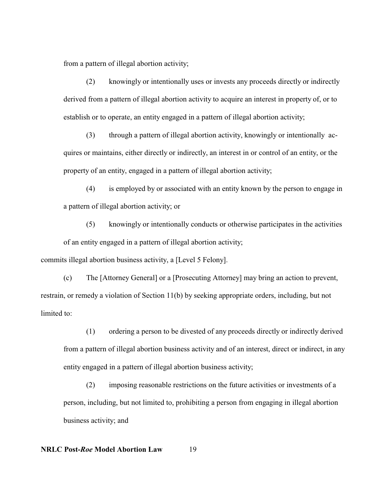from a pattern of illegal abortion activity;

(2) knowingly or intentionally uses or invests any proceeds directly or indirectly derived from a pattern of illegal abortion activity to acquire an interest in property of, or to establish or to operate, an entity engaged in a pattern of illegal abortion activity;

(3) through a pattern of illegal abortion activity, knowingly or intentionally acquires or maintains, either directly or indirectly, an interest in or control of an entity, or the property of an entity, engaged in a pattern of illegal abortion activity;

(4) is employed by or associated with an entity known by the person to engage in a pattern of illegal abortion activity; or

(5) knowingly or intentionally conducts or otherwise participates in the activities of an entity engaged in a pattern of illegal abortion activity;

commits illegal abortion business activity, a [Level 5 Felony].

(c) The [Attorney General] or a [Prosecuting Attorney] may bring an action to prevent, restrain, or remedy a violation of Section 11(b) by seeking appropriate orders, including, but not limited to:

(1) ordering a person to be divested of any proceeds directly or indirectly derived from a pattern of illegal abortion business activity and of an interest, direct or indirect, in any entity engaged in a pattern of illegal abortion business activity;

(2) imposing reasonable restrictions on the future activities or investments of a person, including, but not limited to, prohibiting a person from engaging in illegal abortion business activity; and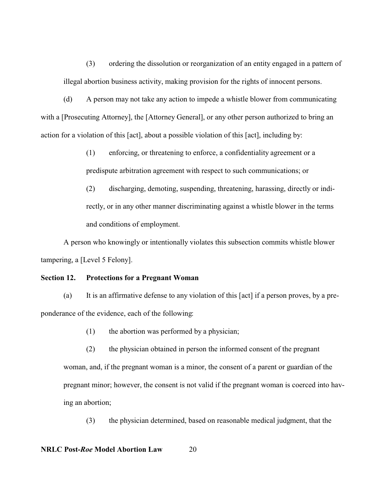(3) ordering the dissolution or reorganization of an entity engaged in a pattern of illegal abortion business activity, making provision for the rights of innocent persons.

(d) A person may not take any action to impede a whistle blower from communicating with a [Prosecuting Attorney], the [Attorney General], or any other person authorized to bring an action for a violation of this [act], about a possible violation of this [act], including by:

> (1) enforcing, or threatening to enforce, a confidentiality agreement or a predispute arbitration agreement with respect to such communications; or

(2) discharging, demoting, suspending, threatening, harassing, directly or indirectly, or in any other manner discriminating against a whistle blower in the terms and conditions of employment.

A person who knowingly or intentionally violates this subsection commits whistle blower tampering, a [Level 5 Felony].

#### **Section 12. Protections for a Pregnant Woman**

(a) It is an affirmative defense to any violation of this [act] if a person proves, by a preponderance of the evidence, each of the following:

(1) the abortion was performed by a physician;

(2) the physician obtained in person the informed consent of the pregnant

woman, and, if the pregnant woman is a minor, the consent of a parent or guardian of the pregnant minor; however, the consent is not valid if the pregnant woman is coerced into having an abortion;

(3) the physician determined, based on reasonable medical judgment, that the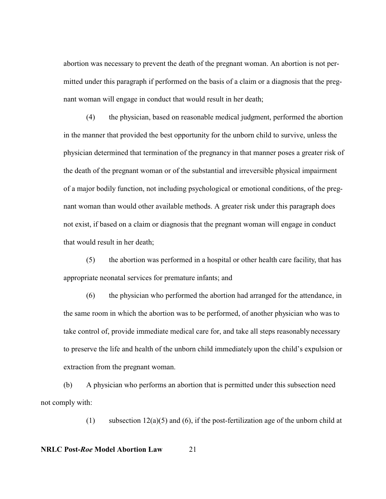abortion was necessary to prevent the death of the pregnant woman. An abortion is not permitted under this paragraph if performed on the basis of a claim or a diagnosis that the pregnant woman will engage in conduct that would result in her death;

(4) the physician, based on reasonable medical judgment, performed the abortion in the manner that provided the best opportunity for the unborn child to survive, unless the physician determined that termination of the pregnancy in that manner poses a greater risk of the death of the pregnant woman or of the substantial and irreversible physical impairment of a major bodily function, not including psychological or emotional conditions, of the pregnant woman than would other available methods. A greater risk under this paragraph does not exist, if based on a claim or diagnosis that the pregnant woman will engage in conduct that would result in her death;

(5) the abortion was performed in a hospital or other health care facility, that has appropriate neonatal services for premature infants; and

(6) the physician who performed the abortion had arranged for the attendance, in the same room in which the abortion was to be performed, of another physician who was to take control of, provide immediate medical care for, and take all steps reasonably necessary to preserve the life and health of the unborn child immediately upon the child's expulsion or extraction from the pregnant woman.

(b) A physician who performs an abortion that is permitted under this subsection need not comply with:

(1) subsection  $12(a)(5)$  and (6), if the post-fertilization age of the unborn child at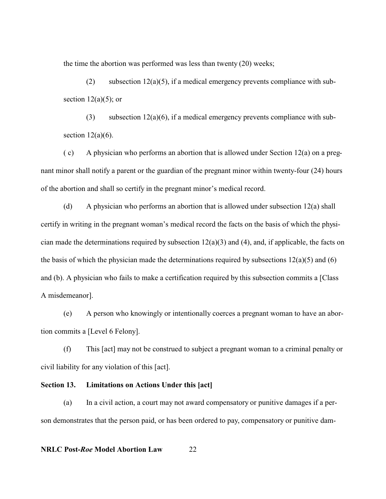the time the abortion was performed was less than twenty (20) weeks;

(2) subsection  $12(a)(5)$ , if a medical emergency prevents compliance with subsection  $12(a)(5)$ ; or

(3) subsection  $12(a)(6)$ , if a medical emergency prevents compliance with subsection  $12(a)(6)$ .

 $(c)$  A physician who performs an abortion that is allowed under Section 12(a) on a pregnant minor shall notify a parent or the guardian of the pregnant minor within twenty-four (24) hours of the abortion and shall so certify in the pregnant minor's medical record.

(d) A physician who performs an abortion that is allowed under subsection 12(a) shall certify in writing in the pregnant woman's medical record the facts on the basis of which the physician made the determinations required by subsection  $12(a)(3)$  and  $(4)$ , and, if applicable, the facts on the basis of which the physician made the determinations required by subsections  $12(a)(5)$  and (6) and (b). A physician who fails to make a certification required by this subsection commits a [Class A misdemeanor].

(e) A person who knowingly or intentionally coerces a pregnant woman to have an abortion commits a [Level 6 Felony].

(f) This [act] may not be construed to subject a pregnant woman to a criminal penalty or civil liability for any violation of this [act].

### **Section 13. Limitations on Actions Under this [act]**

(a) In a civil action, a court may not award compensatory or punitive damages if a person demonstrates that the person paid, or has been ordered to pay, compensatory or punitive dam-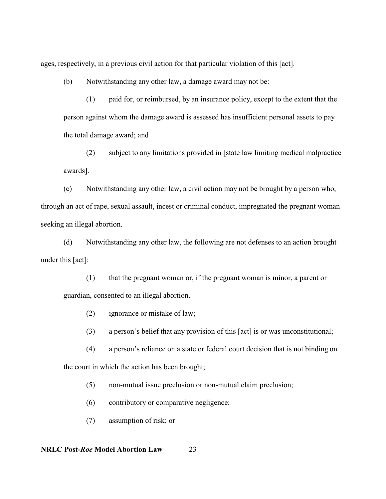ages, respectively, in a previous civil action for that particular violation of this [act].

(b) Notwithstanding any other law, a damage award may not be:

(1) paid for, or reimbursed, by an insurance policy, except to the extent that the person against whom the damage award is assessed has insufficient personal assets to pay the total damage award; and

(2) subject to any limitations provided in [state law limiting medical malpractice awards].

(c) Notwithstanding any other law, a civil action may not be brought by a person who, through an act of rape, sexual assault, incest or criminal conduct, impregnated the pregnant woman seeking an illegal abortion.

(d) Notwithstanding any other law, the following are not defenses to an action brought under this [act]:

(1) that the pregnant woman or, if the pregnant woman is minor, a parent or guardian, consented to an illegal abortion.

(2) ignorance or mistake of law;

(3) a person's belief that any provision of this [act] is or was unconstitutional;

(4) a person's reliance on a state or federal court decision that is not binding on the court in which the action has been brought;

(5) non-mutual issue preclusion or non-mutual claim preclusion;

- (6) contributory or comparative negligence;
- (7) assumption of risk; or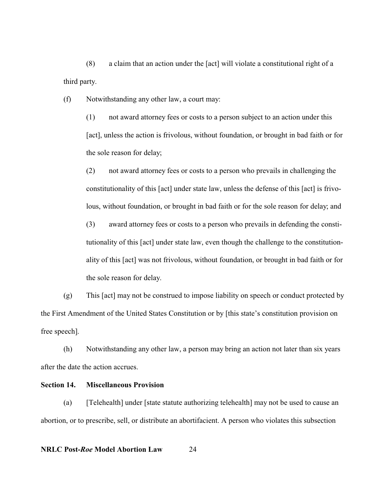(8) a claim that an action under the [act] will violate a constitutional right of a third party.

(f) Notwithstanding any other law, a court may:

(1) not award attorney fees or costs to a person subject to an action under this [act], unless the action is frivolous, without foundation, or brought in bad faith or for the sole reason for delay;

(2) not award attorney fees or costs to a person who prevails in challenging the constitutionality of this [act] under state law, unless the defense of this [act] is frivolous, without foundation, or brought in bad faith or for the sole reason for delay; and

(3) award attorney fees or costs to a person who prevails in defending the constitutionality of this [act] under state law, even though the challenge to the constitutionality of this [act] was not frivolous, without foundation, or brought in bad faith or for the sole reason for delay.

(g) This [act] may not be construed to impose liability on speech or conduct protected by the First Amendment of the United States Constitution or by [this state's constitution provision on free speech].

(h) Notwithstanding any other law, a person may bring an action not later than six years after the date the action accrues.

### **Section 14. Miscellaneous Provision**

(a) [Telehealth] under [state statute authorizing telehealth] may not be used to cause an abortion, or to prescribe, sell, or distribute an abortifacient. A person who violates this subsection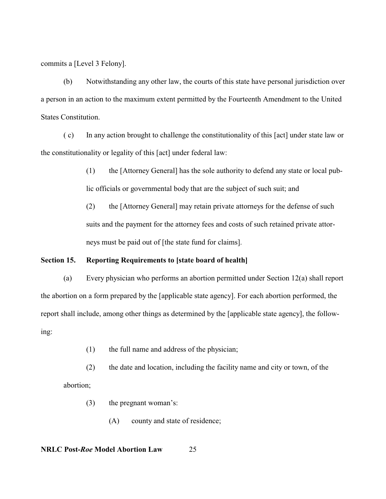commits a [Level 3 Felony].

(b) Notwithstanding any other law, the courts of this state have personal jurisdiction over a person in an action to the maximum extent permitted by the Fourteenth Amendment to the United States Constitution.

( c) In any action brought to challenge the constitutionality of this [act] under state law or the constitutionality or legality of this [act] under federal law:

> (1) the [Attorney General] has the sole authority to defend any state or local public officials or governmental body that are the subject of such suit; and

(2) the [Attorney General] may retain private attorneys for the defense of such suits and the payment for the attorney fees and costs of such retained private attorneys must be paid out of [the state fund for claims].

### **Section 15. Reporting Requirements to [state board of health]**

(a) Every physician who performs an abortion permitted under Section 12(a) shall report the abortion on a form prepared by the [applicable state agency]. For each abortion performed, the report shall include, among other things as determined by the [applicable state agency], the following:

- (1) the full name and address of the physician;
- (2) the date and location, including the facility name and city or town, of the abortion;
	- (3) the pregnant woman's:
		- (A) county and state of residence;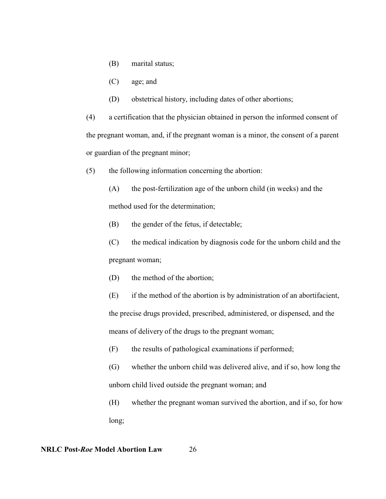- (B) marital status;
- (C) age; and
- (D) obstetrical history, including dates of other abortions;

(4) a certification that the physician obtained in person the informed consent of the pregnant woman, and, if the pregnant woman is a minor, the consent of a parent or guardian of the pregnant minor;

- (5) the following information concerning the abortion:
	- (A) the post-fertilization age of the unborn child (in weeks) and the method used for the determination;
	- (B) the gender of the fetus, if detectable;
	- (C) the medical indication by diagnosis code for the unborn child and the pregnant woman;
	- (D) the method of the abortion;
	- (E) if the method of the abortion is by administration of an abortifacient, the precise drugs provided, prescribed, administered, or dispensed, and the means of delivery of the drugs to the pregnant woman;
	- (F) the results of pathological examinations if performed;
	- (G) whether the unborn child was delivered alive, and if so, how long the unborn child lived outside the pregnant woman; and
	- (H) whether the pregnant woman survived the abortion, and if so, for how long;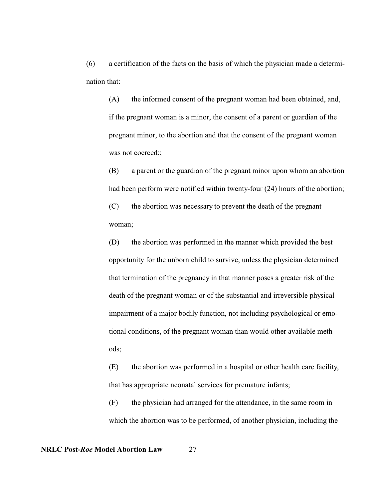(6) a certification of the facts on the basis of which the physician made a determination that:

(A) the informed consent of the pregnant woman had been obtained, and, if the pregnant woman is a minor, the consent of a parent or guardian of the pregnant minor, to the abortion and that the consent of the pregnant woman was not coerced;;

(B) a parent or the guardian of the pregnant minor upon whom an abortion had been perform were notified within twenty-four (24) hours of the abortion;

(C) the abortion was necessary to prevent the death of the pregnant woman;

(D) the abortion was performed in the manner which provided the best opportunity for the unborn child to survive, unless the physician determined that termination of the pregnancy in that manner poses a greater risk of the death of the pregnant woman or of the substantial and irreversible physical impairment of a major bodily function, not including psychological or emotional conditions, of the pregnant woman than would other available methods;

(E) the abortion was performed in a hospital or other health care facility, that has appropriate neonatal services for premature infants;

(F) the physician had arranged for the attendance, in the same room in which the abortion was to be performed, of another physician, including the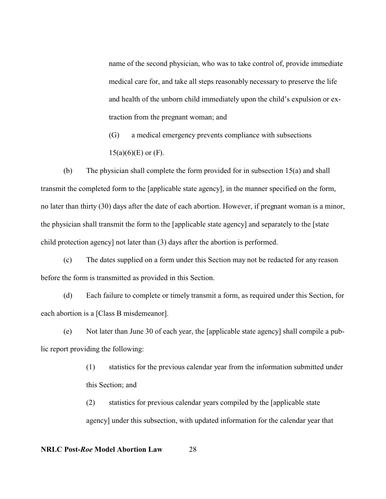name of the second physician, who was to take control of, provide immediate medical care for, and take all steps reasonably necessary to preserve the life and health of the unborn child immediately upon the child's expulsion or extraction from the pregnant woman; and

(G) a medical emergency prevents compliance with subsections  $15(a)(6)(E)$  or  $(F)$ .

(b) The physician shall complete the form provided for in subsection 15(a) and shall transmit the completed form to the [applicable state agency], in the manner specified on the form, no later than thirty (30) days after the date of each abortion. However, if pregnant woman is a minor, the physician shall transmit the form to the [applicable state agency] and separately to the [state child protection agency] not later than (3) days after the abortion is performed.

(c) The dates supplied on a form under this Section may not be redacted for any reason before the form is transmitted as provided in this Section.

(d) Each failure to complete or timely transmit a form, as required under this Section, for each abortion is a [Class B misdemeanor].

(e) Not later than June 30 of each year, the [applicable state agency] shall compile a public report providing the following:

> (1) statistics for the previous calendar year from the information submitted under this Section; and

(2) statistics for previous calendar years compiled by the [applicable state agency] under this subsection, with updated information for the calendar year that